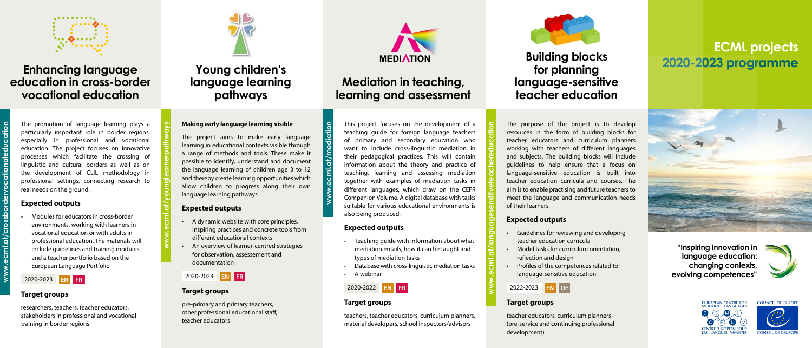

#### **Enhancing language education in cross-border vocational education**

The promotion of language learning plays a particularly important role in border regions, especially in professional and vocational education. The project focuses on innovative processes which facilitate the crossing of linguistic and cultural borders as well as on the development of CLIL methodology in professional settings, connecting research to real needs on the ground.

#### **Expected outputs**

• Modules for educators in cross-border environments, working with learners in vocational education or with adults in professional education. The materials will include guidelines and training modules and a teacher portfolio based on the European Language Portfolio







#### 2020-2023 **EN FR**

#### **Target groups**

researchers, teachers, teacher educators, stakeholders in professional and vocational training in border regions

## **Young children's language learning pathways**



#### **Making early language learning visible**

The project aims to make early language learning in educational contexts visible through a range of methods and tools. These make it possible to identify, understand and document the language learning of children age 3 to 12 and thereby create learning opportunities which allow children to progress along their own language learning pathways.

**[www.ecml.at/](https://www.ecml.at/homelanguagecompetences)mediation** ecml.at

#### **Expected outputs**

- A dynamic website with core principles, inspiring practices and concrete tools from different educational contexts
- An overview of learner-centred strategies for observation, assessement and documentation

#### 2020-2023 **EN FR**

#### **Target groups**

pre-primary and primary teachers, other professional educational staff, teacher educators

# **[www.ecml.at/](https://www.ecml.at/homelanguagecompetences)younglearnerpathways**

## **Mediation in teaching, learning and assessment**

This project focuses on the development of a

teaching guide for foreign language teachers of primary and secondary education who want to include cross-linguistic mediation in their pedagogical practices. This will contain information about the theory and practice of teaching, learning and assessing mediation together with examples of mediation tasks in different languages, which draw on the CEFR Companion Volume. A digital database with tasks suitable for various educational environments is also being produced.

#### **Expected outputs**

- Teaching guide with information about what mediation entails, how it can be taught and types of mediation tasks
- Database with cross-linguistic mediation tasks
- A webinar



#### **Target groups**

teachers, teacher educators, curriculum planners, material developers, school inspectors/advisors

## **Building blocks for planning language-sensitive teacher education**

The purpose of the project is to develop resources in the form of building blocks for teacher educators and curriculum planners working with teachers of different languages and subjects. The building blocks will include guidelines to help ensure that a focus on language-sensitive education is built into teacher education curricula and courses. The aim is to enable practising and future teachers to meet the language and communication needs of their learners.

#### **Expected outputs**

- Guidelines for reviewing and developing
- 
- 
- 

- teacher education curricula
- Model tasks for curriculum orientation,
- reflection and design
- Profiles of the competences related to language-sensitive education



#### **Target groups**

teacher educators, curriculum planners (pre-service and continuing professional

development)

**[www.ecml.at/](https://www.ecml.at/homelanguagecompetences)languagesensitiveteachereducation**



COUNCIL OF FUROPE



## **ECML projects 2020-2023 programme**



**"Inspiring innovation in language education: changing contexts, evolving competences"**



**[www.ecml.at/](https://www.ecml.at/homelanguagecompetences)crossbordervocationaleducation**